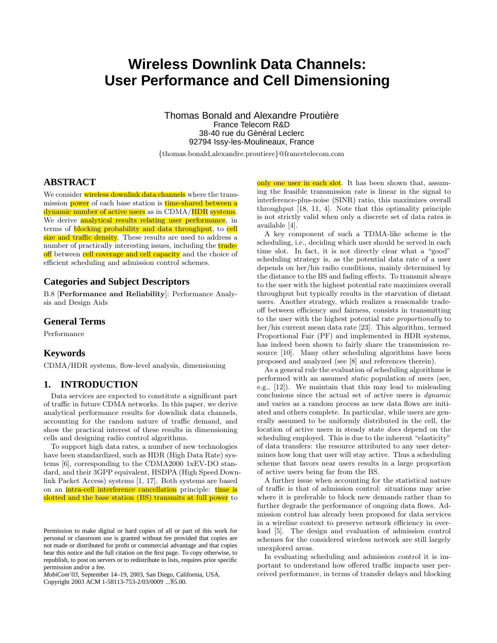# **Wireless Downlink Data Channels: User Performance and Cell Dimensioning**

Thomas Bonald and Alexandre Proutière France Telecom R&D 38-40 rue du Général Leclerc 92794 Issy-les-Moulineaux, France

{thomas.bonald,alexandre.proutiere}@francetelecom.com

# **ABSTRACT**

We consider wireless downlink data channels where the transmission power of each base station is time-shared between a dynamic number of active users as in CDMA/HDR systems. We derive **analytical results relating user performance**, in terms of **blocking probability** and data throughput, to cell size and traffic density. These results are used to address a number of practically interesting issues, including the **trade**off between cell coverage and cell capacity and the choice of efficient scheduling and admission control schemes.

# **Categories and Subject Descriptors**

B.8 [Performance and Reliability]: Performance Analysis and Design Aids

# **General Terms**

Performance

# **Keywords**

CDMA/HDR systems, flow-level analysis, dimensioning

## **1. INTRODUCTION**

Data services are expected to constitute a significant part of traffic in future CDMA networks. In this paper, we derive analytical performance results for downlink data channels, accounting for the random nature of traffic demand, and show the practical interest of these results in dimensioning cells and designing radio control algorithms.

To support high data rates, a number of new technologies have been standardized, such as HDR (High Data Rate) systems [6], corresponding to the CDMA2000 1xEV-DO standard, and their 3GPP equivalent, HSDPA (High Speed Downlink Packet Access) systems [1, 17]. Both systems are based on an *intra-cell interference cancellation* principle: time is slotted and the base station (BS) transmits at full power to

*MobiCom'03,* September 14–19, 2003, San Diego, California, USA. Copyright 2003 ACM 1-58113-753-2/03/0009 ...\$5.00.

only one user in each slot. It has been shown that, assuming the feasible transmission rate is linear in the signal to interference-plus-noise (SINR) ratio, this maximizes overall throughput [18, 11, 4]. Note that this optimality principle is not strictly valid when only a discrete set of data rates is available [4].

A key component of such a TDMA-like scheme is the scheduling, i.e., deciding which user should be served in each time slot. In fact, it is not directly clear what a "good" scheduling strategy is, as the potential data rate of a user depends on her/his radio conditions, mainly determined by the distance to the BS and fading effects. To transmit always to the user with the highest potential rate maximizes overall throughput but typically results in the starvation of distant users. Another strategy, which realizes a reasonable tradeoff between efficiency and fairness, consists in transmitting to the user with the highest potential rate proportionally to her/his current mean data rate [23]. This algorithm, termed Proportional Fair (PF) and implemented in HDR systems, has indeed been shown to fairly share the transmission resource [10]. Many other scheduling algorithms have been proposed and analyzed (see [8] and references therein).

As a general rule the evaluation of scheduling algorithms is performed with an assumed static population of users (see, e.g., [12]). We maintain that this may lead to misleading conclusions since the actual set of active users is dynamic and varies as a random process as new data flows are initiated and others complete. In particular, while users are generally assumed to be uniformly distributed in the cell, the location of active users in steady state does depend on the scheduling employed. This is due to the inherent "elasticity" of data transfers: the resource attributed to any user determines how long that user will stay active. Thus a scheduling scheme that favors near users results in a large proportion of active users being far from the BS.

A further issue when accounting for the statistical nature of traffic is that of admission control: situations may arise where it is preferable to block new demands rather than to further degrade the performance of ongoing data flows. Admission control has already been proposed for data services in a wireline context to preserve network efficiency in overload [5]. The design and evaluation of admission control schemes for the considered wireless network are still largely unexplored areas.

In evaluating scheduling and admission control it is important to understand how offered traffic impacts user perceived performance, in terms of transfer delays and blocking

Permission to make digital or hard copies of all or part of this work for personal or classroom use is granted without fee provided that copies are not made or distributed for profit or commercial advantage and that copies bear this notice and the full citation on the first page. To copy otherwise, to republish, to post on servers or to redistribute to lists, requires prior specific permission and/or a fee.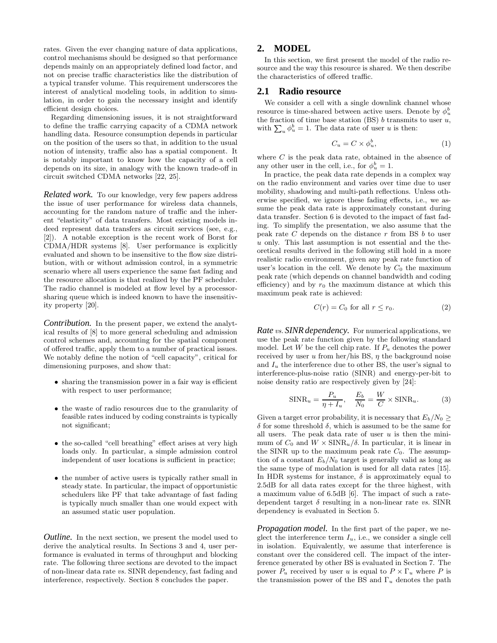rates. Given the ever changing nature of data applications, control mechanisms should be designed so that performance depends mainly on an appropriately defined load factor, and not on precise traffic characteristics like the distribution of a typical transfer volume. This requirement underscores the interest of analytical modeling tools, in addition to simulation, in order to gain the necessary insight and identify efficient design choices.

Regarding dimensioning issues, it is not straightforward to define the traffic carrying capacity of a CDMA network handling data. Resource consumption depends in particular on the position of the users so that, in addition to the usual notion of intensity, traffic also has a spatial component. It is notably important to know how the capacity of a cell depends on its size, in analogy with the known trade-off in circuit switched CDMA networks [22, 25].

*Related work.* To our knowledge, very few papers address the issue of user performance for wireless data channels, accounting for the random nature of traffic and the inherent "elasticity" of data transfers. Most existing models indeed represent data transfers as circuit services (see, e.g., [2]). A notable exception is the recent work of Borst for CDMA/HDR systems [8]. User performance is explicitly evaluated and shown to be insensitive to the flow size distribution, with or without admission control, in a symmetric scenario where all users experience the same fast fading and the resource allocation is that realized by the PF scheduler. The radio channel is modeled at flow level by a processorsharing queue which is indeed known to have the insensitivity property [20].

*Contribution.* In the present paper, we extend the analytical results of [8] to more general scheduling and admission control schemes and, accounting for the spatial component of offered traffic, apply them to a number of practical issues. We notably define the notion of "cell capacity", critical for dimensioning purposes, and show that:

- sharing the transmission power in a fair way is efficient with respect to user performance;
- the waste of radio resources due to the granularity of feasible rates induced by coding constraints is typically not significant;
- the so-called "cell breathing" effect arises at very high loads only. In particular, a simple admission control independent of user locations is sufficient in practice;
- the number of active users is typically rather small in steady state. In particular, the impact of opportunistic schedulers like PF that take advantage of fast fading is typically much smaller than one would expect with an assumed static user population.

*Outline.* In the next section, we present the model used to derive the analytical results. In Sections 3 and 4, user performance is evaluated in terms of throughput and blocking rate. The following three sections are devoted to the impact of non-linear data rate vs. SINR dependency, fast fading and interference, respectively. Section 8 concludes the paper.

## **2. MODEL**

In this section, we first present the model of the radio resource and the way this resource is shared. We then describe the characteristics of offered traffic.

#### **2.1 Radio resource**

We consider a cell with a single downlink channel whose resource is time-shared between active users. Denote by  $\phi_u^b$ the fraction of time base station (BS)  $b$  transmits to user  $u$ , with  $\sum_{u} \phi_u^b = 1$ . The data rate of user u is then:

$$
C_u = C \times \phi_u^b,\tag{1}
$$

where  $C$  is the peak data rate, obtained in the absence of any other user in the cell, i.e., for  $\phi_u^b = 1$ .

In practice, the peak data rate depends in a complex way on the radio environment and varies over time due to user mobility, shadowing and multi-path reflections. Unless otherwise specified, we ignore these fading effects, i.e., we assume the peak data rate is approximately constant during data transfer. Section 6 is devoted to the impact of fast fading. To simplify the presentation, we also assume that the peak rate  $C$  depends on the distance  $r$  from BS  $b$  to user u only. This last assumption is not essential and the theoretical results derived in the following still hold in a more realistic radio environment, given any peak rate function of user's location in the cell. We denote by  $C_0$  the maximum peak rate (which depends on channel bandwidth and coding efficiency) and by  $r_0$  the maximum distance at which this maximum peak rate is achieved:

$$
C(r) = C_0 \text{ for all } r \le r_0. \tag{2}
$$

*Rate* vs. *SINR dependency.* For numerical applications, we use the peak rate function given by the following standard model. Let  $W$  be the cell chip rate. If  $P_u$  denotes the power received by user u from her/his BS,  $\eta$  the background noise and  $I_u$  the interference due to other BS, the user's signal to interference-plus-noise ratio (SINR) and energy-per-bit to noise density ratio are respectively given by [24]:

$$
\text{SINR}_u = \frac{P_u}{\eta + I_u}, \quad \frac{E_b}{N_0} = \frac{W}{C} \times \text{SINR}_u. \tag{3}
$$

Given a target error probability, it is necessary that  $E_b/N_0 \geq$ δ for some threshold δ, which is assumed to be the same for all users. The peak data rate of user  $u$  is then the minimum of  $C_0$  and  $W \times \text{SINR}_u/\delta$ . In particular, it is linear in the SINR up to the maximum peak rate  $C_0$ . The assumption of a constant  $E_b/N_0$  target is generally valid as long as the same type of modulation is used for all data rates [15]. In HDR systems for instance,  $\delta$  is approximately equal to 2.5dB for all data rates except for the three highest, with a maximum value of 6.5dB [6]. The impact of such a ratedependent target  $\delta$  resulting in a non-linear rate vs. SINR dependency is evaluated in Section 5.

*Propagation model.* In the first part of the paper, we neglect the interference term  $I_u$ , i.e., we consider a single cell in isolation. Equivalently, we assume that interference is constant over the considered cell. The impact of the interference generated by other BS is evaluated in Section 7. The power  $P_u$  received by user u is equal to  $P \times \Gamma_u$  where P is the transmission power of the BS and  $\Gamma_u$  denotes the path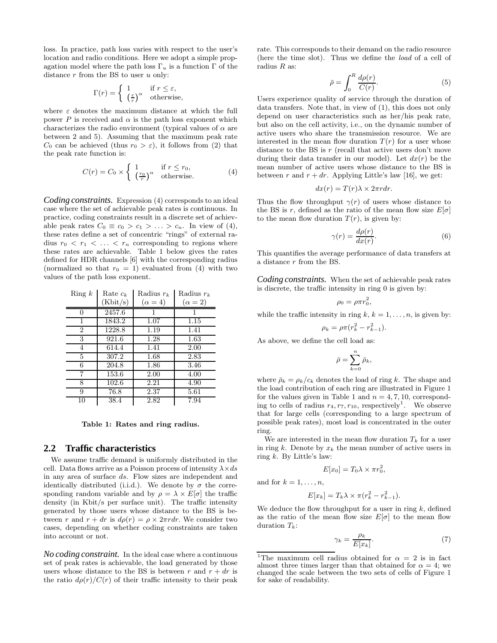loss. In practice, path loss varies with respect to the user's location and radio conditions. Here we adopt a simple propagation model where the path loss  $\Gamma_u$  is a function  $\Gamma$  of the distance  $r$  from the BS to user  $u$  only:

$$
\Gamma(r) = \begin{cases} 1 & \text{if } r \le \varepsilon, \\ \left(\frac{\varepsilon}{r}\right)^{\alpha} & \text{otherwise,} \end{cases}
$$

where  $\varepsilon$  denotes the maximum distance at which the full power P is received and  $\alpha$  is the path loss exponent which characterizes the radio environment (typical values of  $\alpha$  are between 2 and 5). Assuming that the maximum peak rate  $C_0$  can be achieved (thus  $r_0 > \varepsilon$ ), it follows from (2) that the peak rate function is:

$$
C(r) = C_0 \times \begin{cases} 1 & \text{if } r \le r_0, \\ \left(\frac{r_0}{r}\right)^{\alpha} & \text{otherwise.} \end{cases}
$$
 (4)

*Coding constraints.* Expression (4) corresponds to an ideal case where the set of achievable peak rates is continuous. In practice, coding constraints result in a discrete set of achievable peak rates  $C_0 \equiv c_0 > c_1 > \ldots > c_n$ . In view of (4), these rates define a set of concentric "rings" of external radius  $r_0 < r_1 < \ldots < r_n$  corresponding to regions where these rates are achievable. Table 1 below gives the rates defined for HDR channels [6] with the corresponding radius (normalized so that  $r_0 = 1$ ) evaluated from (4) with two values of the path loss exponent.

| $\lim g k$     | Rate $c_k$ | Radius $r_k$   | Radius $r_k$   |
|----------------|------------|----------------|----------------|
|                | (Kbit/s)   | $(\alpha = 4)$ | $(\alpha = 2)$ |
| 0              | 2457.6     |                |                |
| 1              | 1843.2     | 1.07           | 1.15           |
| $\overline{2}$ | 1228.8     | 1.19           | 1.41           |
| 3              | 921.6      | 1.28           | 1.63           |
| 4              | 614.4      | 1.41           | 2.00           |
| 5              | 307.2      | 1.68           | 2.83           |
| 6              | 204.8      | 1.86           | 3.46           |
| 7              | 153.6      | 2.00           | 4.00           |
| 8              | 102.6      | 2.21           | 4.90           |
| 9              | 76.8       | 2.37           | 5.61           |
| 10             | 38.4       | 2.82           | 7.94           |

Table 1: Rates and ring radius.

## **2.2 Traffic characteristics**

We assume traffic demand is uniformly distributed in the cell. Data flows arrive as a Poisson process of intensity  $\lambda \times ds$ in any area of surface ds. Flow sizes are independent and identically distributed (i.i.d.). We denote by  $\sigma$  the corresponding random variable and by  $\rho = \lambda \times E[\sigma]$  the traffic density (in Kbit/s per surface unit). The traffic intensity generated by those users whose distance to the BS is between r and  $r + dr$  is  $d\rho(r) = \rho \times 2\pi r dr$ . We consider two cases, depending on whether coding constraints are taken into account or not.

*No coding constraint.* In the ideal case where a continuous set of peak rates is achievable, the load generated by those users whose distance to the BS is between r and  $r + dr$  is the ratio  $d\rho(r)/C(r)$  of their traffic intensity to their peak

rate. This corresponds to their demand on the radio resource (here the time slot). Thus we define the load of a cell of radius  $R$  as:

$$
\bar{\rho} = \int_0^R \frac{d\rho(r)}{C(r)}.\tag{5}
$$

Users experience quality of service through the duration of data transfers. Note that, in view of (1), this does not only depend on user characteristics such as her/his peak rate, but also on the cell activity, i.e., on the dynamic number of active users who share the transmission resource. We are interested in the mean flow duration  $T(r)$  for a user whose distance to the BS is  $r$  (recall that active users don't move during their data transfer in our model). Let  $dx(r)$  be the mean number of active users whose distance to the BS is between r and  $r + dr$ . Applying Little's law [16], we get:

$$
dx(r) = T(r)\lambda \times 2\pi r dr.
$$

Thus the flow throughput  $\gamma(r)$  of users whose distance to the BS is r, defined as the ratio of the mean flow size  $E[\sigma]$ to the mean flow duration  $T(r)$ , is given by:

$$
\gamma(r) = \frac{d\rho(r)}{dx(r)}.\tag{6}
$$

This quantifies the average performance of data transfers at a distance r from the BS.

*Coding constraints.* When the set of achievable peak rates is discrete, the traffic intensity in ring 0 is given by:

$$
\rho_0 = \rho \pi r_0^2,
$$

while the traffic intensity in ring  $k, k = 1, \ldots, n$ , is given by:

$$
\rho_k = \rho \pi (r_k^2 - r_{k-1}^2).
$$

As above, we define the cell load as:

$$
\bar{\rho} = \sum_{k=0}^{n} \bar{\rho}_k,
$$

where  $\bar{\rho}_k = \rho_k/c_k$  denotes the load of ring k. The shape and the load contribution of each ring are illustrated in Figure 1 for the values given in Table 1 and  $n = 4, 7, 10$ , corresponding to cells of radius  $r_4, r_7, r_{10}$ , respectively<sup>1</sup>. We observe that for large cells (corresponding to a large spectrum of possible peak rates), most load is concentrated in the outer ring.

We are interested in the mean flow duration  $T_k$  for a user in ring k. Denote by  $x_k$  the mean number of active users in ring  $k$ . By Little's law:

$$
E[x_0] = T_0 \lambda \times \pi r_0^2,
$$

and for  $k = 1, \ldots, n$ ,

$$
E[x_k] = T_k \lambda \times \pi (r_k^2 - r_{k-1}^2).
$$

We deduce the flow throughput for a user in ring  $k$ , defined as the ratio of the mean flow size  $E[\sigma]$  to the mean flow duration  $T_k$ :

$$
\gamma_k = \frac{\rho_k}{E[x_k]}.\tag{7}
$$

<sup>&</sup>lt;sup>1</sup>The maximum cell radius obtained for  $\alpha = 2$  is in fact almost three times larger than that obtained for  $\alpha = 4$ ; we changed the scale between the two sets of cells of Figure 1 for sake of readability.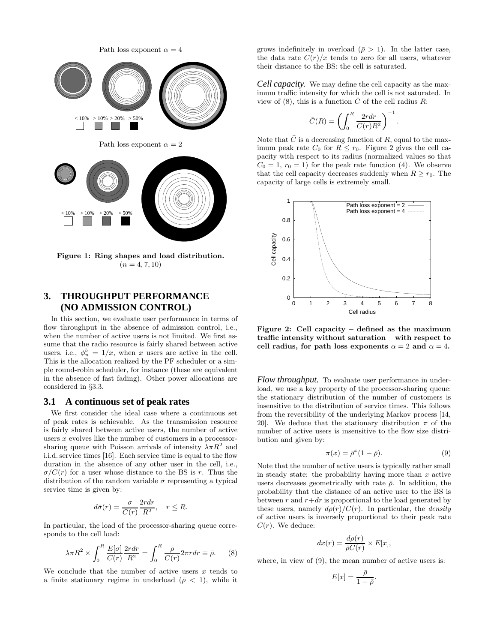

# **3. THROUGHPUT PERFORMANCE (NO ADMISSION CONTROL)**

In this section, we evaluate user performance in terms of flow throughput in the absence of admission control, i.e., when the number of active users is not limited. We first assume that the radio resource is fairly shared between active users, i.e.,  $\phi_u^b = 1/x$ , when x users are active in the cell. This is the allocation realized by the PF scheduler or a simple round-robin scheduler, for instance (these are equivalent in the absence of fast fading). Other power allocations are considered in §3.3.

## **3.1 A continuous set of peak rates**

We first consider the ideal case where a continuous set of peak rates is achievable. As the transmission resource is fairly shared between active users, the number of active users  $x$  evolves like the number of customers in a processorsharing queue with Poisson arrivals of intensity  $\lambda \pi R^2$  and i.i.d. service times [16]. Each service time is equal to the flow duration in the absence of any other user in the cell, i.e.,  $\sigma/C(r)$  for a user whose distance to the BS is r. Thus the distribution of the random variable  $\bar{\sigma}$  representing a typical service time is given by:

$$
d\bar{\sigma}(r) = \frac{\sigma}{C(r)} \frac{2r dr}{R^2}, \quad r \le R.
$$

In particular, the load of the processor-sharing queue corresponds to the cell load:

$$
\lambda \pi R^2 \times \int_0^R \frac{E[\sigma]}{C(r)} \frac{2r dr}{R^2} = \int_0^R \frac{\rho}{C(r)} 2\pi r dr \equiv \bar{\rho}.
$$
 (8)

We conclude that the number of active users  $x$  tends to a finite stationary regime in underload ( $\bar{\rho}$  < 1), while it grows indefinitely in overload ( $\bar{\rho} > 1$ ). In the latter case, the data rate  $C(r)/x$  tends to zero for all users, whatever their distance to the BS: the cell is saturated.

*Cell capacity.* We may define the cell capacity as the maximum traffic intensity for which the cell is not saturated. In view of (8), this is a function  $\overline{C}$  of the cell radius R:

$$
\bar{C}(R) = \left(\int_0^R \frac{2rdr}{C(r)R^2}\right)^{-1}.
$$

Note that  $\overline{C}$  is a decreasing function of R, equal to the maximum peak rate  $C_0$  for  $R \leq r_0$ . Figure 2 gives the cell capacity with respect to its radius (normalized values so that  $C_0 = 1, r_0 = 1$  for the peak rate function (4). We observe that the cell capacity decreases suddenly when  $R \ge r_0$ . The capacity of large cells is extremely small.



Figure 2: Cell capacity – defined as the maximum traffic intensity without saturation – with respect to cell radius, for path loss exponents  $\alpha = 2$  and  $\alpha = 4$ .

*Flow throughput.* To evaluate user performance in underload, we use a key property of the processor-sharing queue: the stationary distribution of the number of customers is insensitive to the distribution of service times. This follows from the reversibility of the underlying Markov process [14, 20]. We deduce that the stationary distribution  $\pi$  of the number of active users is insensitive to the flow size distribution and given by:

$$
\pi(x) = \bar{\rho}^x (1 - \bar{\rho}).\tag{9}
$$

Note that the number of active users is typically rather small in steady state: the probability having more than  $x$  active users decreases geometrically with rate  $\bar{\rho}$ . In addition, the probability that the distance of an active user to the BS is between r and  $r+dr$  is proportional to the load generated by these users, namely  $d\rho(r)/C(r)$ . In particular, the *density* of active users is inversely proportional to their peak rate  $C(r)$ . We deduce:

$$
dx(r) = \frac{d\rho(r)}{\bar{\rho}C(r)} \times E[x],
$$

where, in view of  $(9)$ , the mean number of active users is:

$$
E[x] = \frac{\bar{\rho}}{1 - \bar{\rho}}
$$

.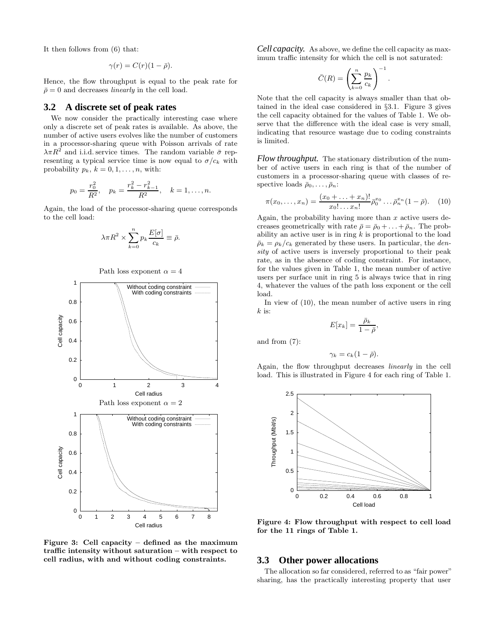It then follows from (6) that:

$$
\gamma(r) = C(r)(1 - \bar{\rho}).
$$

Hence, the flow throughput is equal to the peak rate for  $\bar{\rho}=0$  and decreases *linearly* in the cell load.

## **3.2 A discrete set of peak rates**

We now consider the practically interesting case where only a discrete set of peak rates is available. As above, the number of active users evolves like the number of customers in a processor-sharing queue with Poisson arrivals of rate  $\lambda \pi R^2$  and i.i.d. service times. The random variable  $\bar{\sigma}$  representing a typical service time is now equal to  $\sigma/c_k$  with probability  $p_k$ ,  $k = 0, 1, \ldots, n$ , with:

$$
p_0 = \frac{r_0^2}{R^2}
$$
,  $p_k = \frac{r_k^2 - r_{k-1}^2}{R^2}$ ,  $k = 1, ..., n$ .

Again, the load of the processor-sharing queue corresponds to the cell load:

$$
\lambda \pi R^2 \times \sum_{k=0}^n p_k \frac{E[\sigma]}{c_k} \equiv \bar{\rho}.
$$





Figure 3: Cell capacity – defined as the maximum traffic intensity without saturation – with respect to cell radius, with and without coding constraints.

*Cell capacity.* As above, we define the cell capacity as maximum traffic intensity for which the cell is not saturated:

$$
\bar{C}(R) = \left(\sum_{k=0}^{n} \frac{p_k}{c_k}\right)^{-1}.
$$

Note that the cell capacity is always smaller than that obtained in the ideal case considered in §3.1. Figure 3 gives the cell capacity obtained for the values of Table 1. We observe that the difference with the ideal case is very small, indicating that resource wastage due to coding constraints is limited.

*Flow throughput.* The stationary distribution of the number of active users in each ring is that of the number of customers in a processor-sharing queue with classes of respective loads  $\bar{\rho}_0, \ldots, \bar{\rho}_n$ :

$$
\pi(x_0, \dots, x_n) = \frac{(x_0 + \dots + x_n)!}{x_0! \dots x_n!} \bar{\rho}_0^{x_0} \dots \bar{\rho}_n^{x_n} (1 - \bar{\rho}). \quad (10)
$$

Again, the probability having more than  $x$  active users decreases geometrically with rate  $\bar{\rho} = \bar{\rho}_0 + \ldots + \bar{\rho}_n$ . The probability an active user is in ring  $k$  is proportional to the load  $\bar{\rho}_k = \rho_k/c_k$  generated by these users. In particular, the density of active users is inversely proportional to their peak rate, as in the absence of coding constraint. For instance, for the values given in Table 1, the mean number of active users per surface unit in ring 5 is always twice that in ring 4, whatever the values of the path loss exponent or the cell load.

In view of (10), the mean number of active users in ring  $k$  is:

$$
E[x_k] = \frac{\bar{\rho}_k}{1 - \bar{\rho}},
$$

and from (7):

$$
\gamma_k = c_k(1-\bar{\rho}).
$$

Again, the flow throughput decreases linearly in the cell load. This is illustrated in Figure 4 for each ring of Table 1.



Figure 4: Flow throughput with respect to cell load for the 11 rings of Table 1.

#### **3.3 Other power allocations**

The allocation so far considered, referred to as "fair power" sharing, has the practically interesting property that user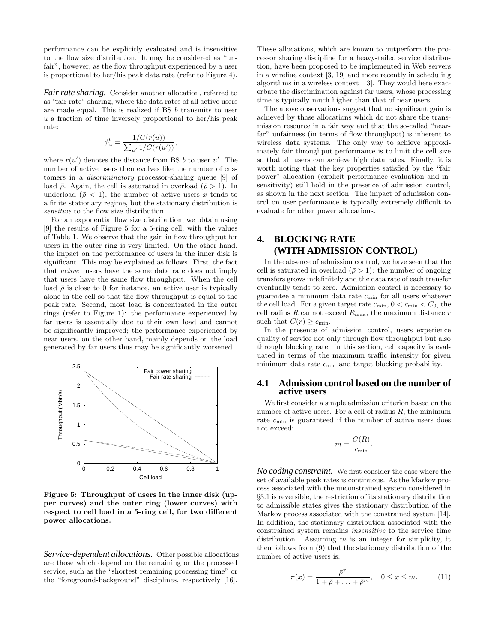performance can be explicitly evaluated and is insensitive to the flow size distribution. It may be considered as "unfair", however, as the flow throughput experienced by a user is proportional to her/his peak data rate (refer to Figure 4).

*Fair rate sharing.* Consider another allocation, referred to as "fair rate" sharing, where the data rates of all active users are made equal. This is realized if BS  $b$  transmits to user  $u$  a fraction of time inversely proportional to her/his peak rate:

$$
\phi_u^b = \frac{1/C(r(u))}{\sum_{u'} 1/C(r(u'))},
$$

where  $r(u')$  denotes the distance from BS b to user u'. The number of active users then evolves like the number of customers in a discriminatory processor-sharing queue [9] of load  $\bar{\rho}$ . Again, the cell is saturated in overload ( $\bar{\rho} > 1$ ). In underload  $(\bar{\rho} < 1)$ , the number of active users x tends to a finite stationary regime, but the stationary distribution is sensitive to the flow size distribution.

For an exponential flow size distribution, we obtain using [9] the results of Figure 5 for a 5-ring cell, with the values of Table 1. We observe that the gain in flow throughput for users in the outer ring is very limited. On the other hand, the impact on the performance of users in the inner disk is significant. This may be explained as follows. First, the fact that active users have the same data rate does not imply that users have the same flow throughput. When the cell load  $\bar{\rho}$  is close to 0 for instance, an active user is typically alone in the cell so that the flow throughput is equal to the peak rate. Second, most load is concentrated in the outer rings (refer to Figure 1): the performance experienced by far users is essentially due to their own load and cannot be significantly improved; the performance experienced by near users, on the other hand, mainly depends on the load generated by far users thus may be significantly worsened.



Figure 5: Throughput of users in the inner disk (upper curves) and the outer ring (lower curves) with respect to cell load in a 5-ring cell, for two different power allocations.

*Service-dependent allocations.* Other possible allocations are those which depend on the remaining or the processed service, such as the "shortest remaining processing time" or the "foreground-background" disciplines, respectively [16].

These allocations, which are known to outperform the processor sharing discipline for a heavy-tailed service distribution, have been proposed to be implemented in Web servers in a wireline context [3, 19] and more recently in scheduling algorithms in a wireless context [13]. They would here exacerbate the discrimination against far users, whose processing time is typically much higher than that of near users.

The above observations suggest that no significant gain is achieved by those allocations which do not share the transmission resource in a fair way and that the so-called "nearfar" unfairness (in terms of flow throughput) is inherent to wireless data systems. The only way to achieve approximately fair throughput performance is to limit the cell size so that all users can achieve high data rates. Finally, it is worth noting that the key properties satisfied by the "fair power" allocation (explicit performance evaluation and insensitivity) still hold in the presence of admission control, as shown in the next section. The impact of admission control on user performance is typically extremely difficult to evaluate for other power allocations.

# **4. BLOCKING RATE (WITH ADMISSION CONTROL)**

In the absence of admission control, we have seen that the cell is saturated in overload  $(\bar{\rho} > 1)$ : the number of ongoing transfers grows indefinitely and the data rate of each transfer eventually tends to zero. Admission control is necessary to guarantee a minimum data rate  $c_{\min}$  for all users whatever the cell load. For a given target rate  $c_{\min}$ ,  $0 < c_{\min} < C_0$ , the cell radius  $R$  cannot exceed  $R_{\text{max}}$ , the maximum distance  $r$ such that  $C(r) \geq c_{\min}$ .

In the presence of admission control, users experience quality of service not only through flow throughput but also through blocking rate. In this section, cell capacity is evaluated in terms of the maximum traffic intensity for given minimum data rate  $c_{\min}$  and target blocking probability.

#### **4.1 Admission control based on the number of active users**

We first consider a simple admission criterion based on the number of active users. For a cell of radius  $R$ , the minimum rate  $c_{\min}$  is guaranteed if the number of active users does not exceed:

$$
m = \frac{C(R)}{c_{\min}}.
$$

*No coding constraint.* We first consider the case where the set of available peak rates is continuous. As the Markov process associated with the unconstrained system considered in §3.1 is reversible, the restriction of its stationary distribution to admissible states gives the stationary distribution of the Markov process associated with the constrained system [14]. In addition, the stationary distribution associated with the constrained system remains insensitive to the service time distribution. Assuming  $m$  is an integer for simplicity, it then follows from (9) that the stationary distribution of the number of active users is:

$$
\pi(x) = \frac{\bar{\rho}^x}{1 + \bar{\rho} + \ldots + \bar{\rho}^m}, \quad 0 \le x \le m.
$$
 (11)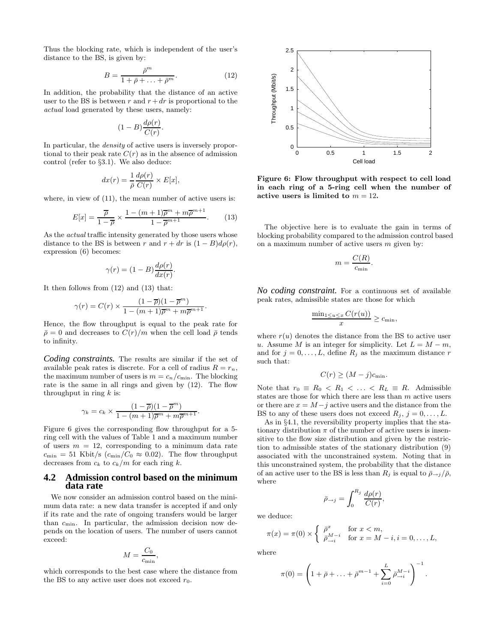Thus the blocking rate, which is independent of the user's distance to the BS, is given by:

$$
B = \frac{\bar{\rho}^m}{1 + \bar{\rho} + \ldots + \bar{\rho}^m}.
$$
\n(12)

In addition, the probability that the distance of an active user to the BS is between r and  $r + dr$  is proportional to the actual load generated by these users, namely:

$$
(1-B)\frac{d\rho(r)}{C(r)}.
$$

In particular, the *density* of active users is inversely proportional to their peak rate  $C(r)$  as in the absence of admission control (refer to §3.1). We also deduce:

$$
dx(r) = \frac{1}{\bar{\rho}} \frac{d\rho(r)}{C(r)} \times E[x],
$$

where, in view of  $(11)$ , the mean number of active users is:

$$
E[x] = \frac{\overline{\rho}}{1 - \overline{\rho}} \times \frac{1 - (m+1)\overline{\rho}^m + m\overline{\rho}^{m+1}}{1 - \overline{\rho}^{m+1}}.
$$
 (13)

As the actual traffic intensity generated by those users whose distance to the BS is between r and  $r + dr$  is  $(1 - B)d\rho(r)$ , expression (6) becomes:

$$
\gamma(r) = (1 - B) \frac{d\rho(r)}{dx(r)}.
$$

It then follows from (12) and (13) that:

$$
\gamma(r) = C(r) \times \frac{(1 - \overline{\rho})(1 - \overline{\rho}^m)}{1 - (m + 1)\overline{\rho}^m + m\overline{\rho}^{m+1}}.
$$

Hence, the flow throughput is equal to the peak rate for  $\bar{\rho}=0$  and decreases to  $C(r)/m$  when the cell load  $\bar{\rho}$  tends to infinity.

*Coding constraints.* The results are similar if the set of available peak rates is discrete. For a cell of radius  $R = r_n$ , the maximum number of users is  $m = c_n/c_{\text{min}}$ . The blocking rate is the same in all rings and given by (12). The flow throughput in ring  $k$  is:

$$
\gamma_k = c_k \times \frac{(1-\overline{\rho})(1-\overline{\rho}^m)}{1-(m+1)\overline{\rho}^m + m\overline{\rho}^{m+1}}.
$$

Figure 6 gives the corresponding flow throughput for a 5 ring cell with the values of Table 1 and a maximum number of users  $m = 12$ , corresponding to a minimum data rate  $c_{\min} = 51$  Kbit/s  $(c_{\min}/C_0 \approx 0.02)$ . The flow throughput decreases from  $c_k$  to  $c_k/m$  for each ring k.

#### **4.2 Admission control based on the minimum data rate**

We now consider an admission control based on the minimum data rate: a new data transfer is accepted if and only if its rate and the rate of ongoing transfers would be larger than  $c_{\min}$ . In particular, the admission decision now depends on the location of users. The number of users cannot exceed:

$$
M = \frac{C_0}{c_{\min}},
$$

which corresponds to the best case where the distance from the BS to any active user does not exceed  $r_0$ .



Figure 6: Flow throughput with respect to cell load in each ring of a 5-ring cell when the number of active users is limited to  $m = 12$ .

The objective here is to evaluate the gain in terms of blocking probability compared to the admission control based on a maximum number of active users  $m$  given by:

$$
m = \frac{C(R)}{c_{\min}}.
$$

*No coding constraint.* For a continuous set of available peak rates, admissible states are those for which

$$
\frac{\min_{1 \le u \le x} C(r(u))}{x} \ge c_{\min},
$$

where  $r(u)$  denotes the distance from the BS to active user u. Assume M is an integer for simplicity. Let  $L = M - m$ , and for  $j = 0, \ldots, L$ , define  $R_j$  as the maximum distance r such that:

$$
C(r) \geq (M-j)c_{\min}.
$$

Note that  $r_0 \equiv R_0 < R_1 < \ldots < R_L \equiv R$ . Admissible states are those for which there are less than  $m$  active users or there are  $x = M-j$  active users and the distance from the BS to any of these users does not exceed  $R_j$ ,  $j = 0, \ldots, L$ .

As in §4.1, the reversibility property implies that the stationary distribution  $\pi$  of the number of active users is insensitive to the flow size distribution and given by the restriction to admissible states of the stationary distribution (9) associated with the unconstrained system. Noting that in this unconstrained system, the probability that the distance of an active user to the BS is less than  $R_j$  is equal to  $\bar{p}_{\rightarrow j}/\bar{p}$ , where

$$
\bar{\rho}_{\to j} = \int_0^{R_j} \frac{d\rho(r)}{C(r)},
$$

we deduce:

$$
\pi(x) = \pi(0) \times \begin{cases} \bar{\rho}^x & \text{for } x < m, \\ \bar{\rho}^{M-i}_{\to i} & \text{for } x = M - i, i = 0, \dots, L, \end{cases}
$$

where

$$
\pi(0) = \left(1 + \bar{\rho} + \ldots + \bar{\rho}^{m-1} + \sum_{i=0}^{L} \bar{\rho}^{M-i}_{\to i}\right)^{-1}.
$$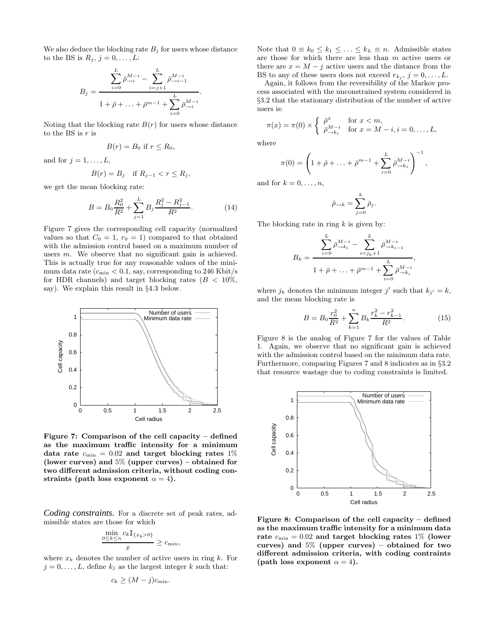We also deduce the blocking rate  $B_j$  for users whose distance to the BS is  $R_j$ ,  $j = 0, \ldots, L$ :

$$
B_j = \frac{\sum_{i=0}^{L} \bar{\rho}_{\to i}^{M-i} - \sum_{i=j+1}^{L} \bar{\rho}_{\to i-1}^{M-i}}{1 + \bar{\rho} + \ldots + \bar{\rho}^{m-1} + \sum_{i=0}^{L} \bar{\rho}_{\to i}^{M-i}}.
$$

Noting that the blocking rate  $B(r)$  for users whose distance to the BS is  $r$  is

$$
B(r) = B_0 \text{ if } r \le R_0,
$$

and for  $j = 1, \ldots, L$ ,

$$
B(r) = B_j \quad \text{if } R_{j-1} < r \le R_j,
$$

we get the mean blocking rate:

$$
B = B_0 \frac{R_0^2}{R^2} + \sum_{j=1}^{L} B_j \frac{R_j^2 - R_{j-1}^2}{R^2}.
$$
 (14)

Figure 7 gives the corresponding cell capacity (normalized values so that  $C_0 = 1$ ,  $r_0 = 1$  compared to that obtained with the admission control based on a maximum number of users m. We observe that no significant gain is achieved. This is actually true for any reasonable values of the minimum data rate ( $c_{\min}$  < 0.1, say, corresponding to 246 Kbit/s for HDR channels) and target blocking rates ( $B < 10\%$ , say). We explain this result in §4.3 below.



Figure 7: Comparison of the cell capacity – defined as the maximum traffic intensity for a minimum data rate  $c_{\min} = 0.02$  and target blocking rates 1% (lower curves) and 5% (upper curves) – obtained for two different admission criteria, without coding constraints (path loss exponent  $\alpha = 4$ ).

*Coding constraints.* For a discrete set of peak rates, admissible states are those for which

$$
\frac{\min\limits_{0\leq k\leq n}c_k1\!\!1_{\{x_k>0\}}}{x}\geq c_{\min},
$$

where  $x_k$  denotes the number of active users in ring  $k$ . For  $j = 0, \ldots, L$ , define  $k_j$  as the largest integer k such that:

$$
c_k \geq (M-j)c_{\min}.
$$

Note that  $0 \equiv k_0 \leq k_1 \leq \ldots \leq k_L \equiv n$ . Admissible states are those for which there are less than m active users or there are  $x = M - j$  active users and the distance from the BS to any of these users does not exceed  $r_{k_j}$ ,  $j = 0, \ldots, L$ .

Again, it follows from the reversibility of the Markov process associated with the unconstrained system considered in §3.2 that the stationary distribution of the number of active users is:

$$
\pi(x) = \pi(0) \times \begin{cases} \bar{\rho}^x & \text{for } x < m, \\ \bar{\rho}^{M-i}_{\to k_i} & \text{for } x = M - i, i = 0, \dots, L, \end{cases}
$$

where

$$
\pi(0) = \left(1 + \bar{\rho} + \ldots + \bar{\rho}^{m-1} + \sum_{i=0}^{L} \bar{\rho}^{M-i}_{\to k_i}\right)^{-1},
$$

and for  $k = 0, \ldots, n$ ,

$$
\bar{\rho}_{\to k} = \sum_{j=0}^{k} \bar{\rho}_j.
$$

The blocking rate in ring  $k$  is given by:

$$
B_k = \frac{\sum_{i=0}^{L} \bar{\rho}_{\to k_i}^{M-i} - \sum_{i=j_k+1}^{L} \bar{\rho}_{\to k_{i-1}}^{M-i}}{1 + \bar{\rho} + \ldots + \bar{\rho}^{m-1} + \sum_{i=0}^{L} \bar{\rho}_{\to k_i}^{M-i}},
$$

where  $j_k$  denotes the minimum integer  $j'$  such that  $k_{j'} = k$ , and the mean blocking rate is

$$
B = B_0 \frac{r_0^2}{R^2} + \sum_{k=1}^n B_k \frac{r_k^2 - r_{k-1}^2}{R^2}.
$$
 (15)

Figure 8 is the analog of Figure 7 for the values of Table 1. Again, we observe that no significant gain is achieved with the admission control based on the minimum data rate. Furthermore, comparing Figures 7 and 8 indicates as in §3.2 that resource wastage due to coding constraints is limited.



Figure 8: Comparison of the cell capacity – defined as the maximum traffic intensity for a minimum data rate  $c_{\text{min}} = 0.02$  and target blocking rates 1% (lower curves) and 5% (upper curves) – obtained for two different admission criteria, with coding contraints (path loss exponent  $\alpha = 4$ ).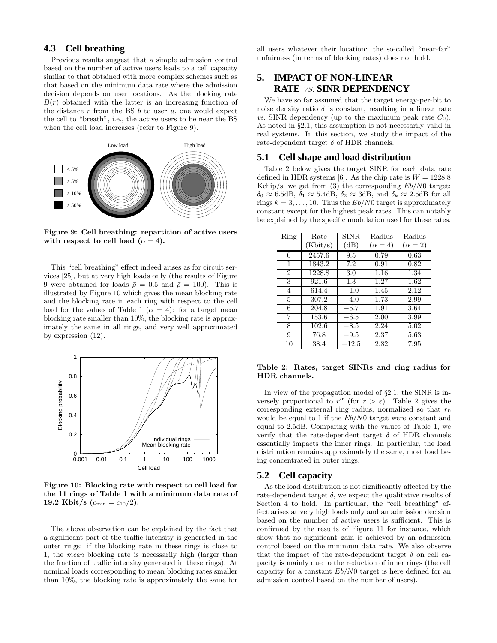# **4.3 Cell breathing**

Previous results suggest that a simple admission control based on the number of active users leads to a cell capacity similar to that obtained with more complex schemes such as that based on the minimum data rate where the admission decision depends on user locations. As the blocking rate  $B(r)$  obtained with the latter is an increasing function of the distance  $r$  from the BS  $b$  to user  $u$ , one would expect the cell to "breath", i.e., the active users to be near the BS when the cell load increases (refer to Figure 9).



Figure 9: Cell breathing: repartition of active users with respect to cell load  $(\alpha = 4)$ .

This "cell breathing" effect indeed arises as for circuit services [25], but at very high loads only (the results of Figure 9 were obtained for loads  $\bar{\rho} = 0.5$  and  $\bar{\rho} = 100$ ). This is illustrated by Figure 10 which gives the mean blocking rate and the blocking rate in each ring with respect to the cell load for the values of Table 1 ( $\alpha = 4$ ): for a target mean blocking rate smaller than 10%, the blocking rate is approximately the same in all rings, and very well approximated by expression (12).



Figure 10: Blocking rate with respect to cell load for the 11 rings of Table 1 with a minimum data rate of 19.2 Kbit/s  $(c_{\min} = c_{10}/2)$ .

The above observation can be explained by the fact that a significant part of the traffic intensity is generated in the outer rings: if the blocking rate in these rings is close to 1, the mean blocking rate is necessarily high (larger than the fraction of traffic intensity generated in these rings). At nominal loads corresponding to mean blocking rates smaller than 10%, the blocking rate is approximately the same for all users whatever their location: the so-called "near-far" unfairness (in terms of blocking rates) does not hold.

# **5. IMPACT OF NON-LINEAR RATE** VS. **SINR DEPENDENCY**

We have so far assumed that the target energy-per-bit to noise density ratio  $\delta$  is constant, resulting in a linear rate vs. SINR dependency (up to the maximum peak rate  $C_0$ ). As noted in §2.1, this assumption is not necessarily valid in real systems. In this section, we study the impact of the rate-dependent target  $\delta$  of HDR channels.

#### **5.1 Cell shape and load distribution**

Table 2 below gives the target SINR for each data rate defined in HDR systems [6]. As the chip rate is  $W = 1228.8$ Kchip/s, we get from  $(3)$  the corresponding  $Eb/N0$  target:  $\delta_0 \approx 6.5$ dB,  $\delta_1 \approx 5.4$ dB,  $\delta_2 \approx 3$ dB, and  $\delta_k \approx 2.5$ dB for all rings  $k = 3, \ldots, 10$ . Thus the  $Eb/N0$  target is approximately constant except for the highest peak rates. This can notably be explained by the specific modulation used for these rates.

| Ring           | Rate<br>(Kbit/s) | SINR.<br>(dB) | Radius<br>$(\alpha = 4)$ | Radius<br>$(\alpha = 2)$ |
|----------------|------------------|---------------|--------------------------|--------------------------|
| 0              | 2457.6           | 9.5           | 0.79                     | 0.63                     |
| 1              | 1843.2           | 7.2           | 0.91                     | 0.82                     |
| $\overline{2}$ | 1228.8           | 3.0           | 1.16                     | 1.34                     |
| 3              | 921.6            | 1.3           | 1.27                     | 1.62                     |
| 4              | 614.4            | $-1.0$        | 1.45                     | 2.12                     |
| 5              | 307.2            | $-4.0$        | 1.73                     | 2.99                     |
| 6              | 204.8            | $-5.7$        | 1.91                     | 3.64                     |
| 7              | 153.6            | $-6.5$        | 2.00                     | 3.99                     |
| 8              | 102.6            | $-8.5$        | 2.24                     | 5.02                     |
| 9              | 76.8             | $-9.5$        | 2.37                     | 5.63                     |
| 10             | 38.4             | $-12.5$       | 2.82                     | 7.95                     |

Table 2: Rates, target SINRs and ring radius for HDR channels.

In view of the propagation model of §2.1, the SINR is inversely proportional to  $r^{\alpha}$  (for  $r > \varepsilon$ ). Table 2 gives the corresponding external ring radius, normalized so that  $r_0$ would be equal to 1 if the Eb/N0 target were constant and equal to 2.5dB. Comparing with the values of Table 1, we verify that the rate-dependent target  $\delta$  of HDR channels essentially impacts the inner rings. In particular, the load distribution remains approximately the same, most load being concentrated in outer rings.

### **5.2 Cell capacity**

As the load distribution is not significantly affected by the rate-dependent target  $\delta$ , we expect the qualitative results of Section 4 to hold. In particular, the "cell breathing" effect arises at very high loads only and an admission decision based on the number of active users is sufficient. This is confirmed by the results of Figure 11 for instance, which show that no significant gain is achieved by an admission control based on the minimum data rate. We also observe that the impact of the rate-dependent target  $\delta$  on cell capacity is mainly due to the reduction of inner rings (the cell capacity for a constant  $Eb/N0$  target is here defined for an admission control based on the number of users).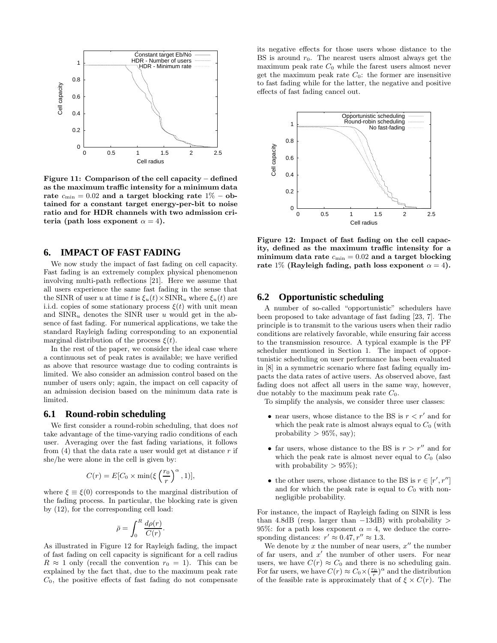

Figure 11: Comparison of the cell capacity – defined as the maximum traffic intensity for a minimum data rate  $c_{\text{min}} = 0.02$  and a target blocking rate  $1\%$  – obtained for a constant target energy-per-bit to noise ratio and for HDR channels with two admission criteria (path loss exponent  $\alpha = 4$ ).

# **6. IMPACT OF FAST FADING**

We now study the impact of fast fading on cell capacity. Fast fading is an extremely complex physical phenomenon involving multi-path reflections [21]. Here we assume that all users experience the same fast fading in the sense that the SINR of user u at time t is  $\xi_u(t) \times \text{SINR}_u$  where  $\xi_u(t)$  are i.i.d. copies of some stationary process  $\xi(t)$  with unit mean and  $\text{SINR}_u$  denotes the SINR user u would get in the absence of fast fading. For numerical applications, we take the standard Rayleigh fading corresponding to an exponential marginal distribution of the process  $\xi(t)$ .

In the rest of the paper, we consider the ideal case where a continuous set of peak rates is available; we have verified as above that resource wastage due to coding contraints is limited. We also consider an admission control based on the number of users only; again, the impact on cell capacity of an admission decision based on the minimum data rate is limited.

## **6.1 Round-robin scheduling**

We first consider a round-robin scheduling, that does not take advantage of the time-varying radio conditions of each user. Averaging over the fast fading variations, it follows from  $(4)$  that the data rate a user would get at distance r if she/he were alone in the cell is given by:

$$
C(r) = E[C_0 \times \min(\xi \left(\frac{r_0}{r}\right)^{\alpha}, 1)],
$$

where  $\xi \equiv \xi(0)$  corresponds to the marginal distribution of the fading process. In particular, the blocking rate is given by (12), for the corresponding cell load:

$$
\bar{\rho} = \int_0^R \frac{d\rho(r)}{C(r)}.
$$

As illustrated in Figure 12 for Rayleigh fading, the impact of fast fading on cell capacity is significant for a cell radius  $R \approx 1$  only (recall the convention  $r_0 = 1$ ). This can be explained by the fact that, due to the maximum peak rate  $C_0$ , the positive effects of fast fading do not compensate its negative effects for those users whose distance to the BS is around  $r_0$ . The nearest users almost always get the maximum peak rate  $C_0$  while the farest users almost never get the maximum peak rate  $C_0$ : the former are insensitive to fast fading while for the latter, the negative and positive effects of fast fading cancel out.



Figure 12: Impact of fast fading on the cell capacity, defined as the maximum traffic intensity for a minimum data rate  $c_{\min} = 0.02$  and a target blocking rate 1% (Rayleigh fading, path loss exponent  $\alpha = 4$ ).

#### **6.2 Opportunistic scheduling**

A number of so-called "opportunistic" schedulers have been proposed to take advantage of fast fading [23, 7]. The principle is to transmit to the various users when their radio conditions are relatively favorable, while ensuring fair access to the transmission resource. A typical example is the PF scheduler mentioned in Section 1. The impact of opportunistic scheduling on user performance has been evaluated in [8] in a symmetric scenario where fast fading equally impacts the data rates of active users. As observed above, fast fading does not affect all users in the same way, however, due notably to the maximum peak rate  $C_0$ .

To simplify the analysis, we consider three user classes:

- near users, whose distance to the BS is  $r < r'$  and for which the peak rate is almost always equal to  $C_0$  (with probability  $> 95\%$ , say);
- far users, whose distance to the BS is  $r > r''$  and for which the peak rate is almost never equal to  $C_0$  (also with probability  $> 95\%$ );
- the other users, whose distance to the BS is  $r \in [r', r'']$ and for which the peak rate is equal to  $C_0$  with nonnegligible probability.

For instance, the impact of Rayleigh fading on SINR is less than 4.8dB (resp. larger than  $-13dB$ ) with probability > 95%: for a path loss exponent  $\alpha = 4$ , we deduce the corresponding distances:  $r' \approx 0.47, r'' \approx 1.3$ .

We denote by  $x$  the number of near users,  $x''$  the number of far users, and  $x'$  the number of other users. For near users, we have  $C(r) \approx C_0$  and there is no scheduling gain. For far users, we have  $C(r) \approx C_0 \times (\frac{r_0}{r})^{\alpha}$  and the distribution of the feasible rate is approximately that of  $\xi \times C(r)$ . The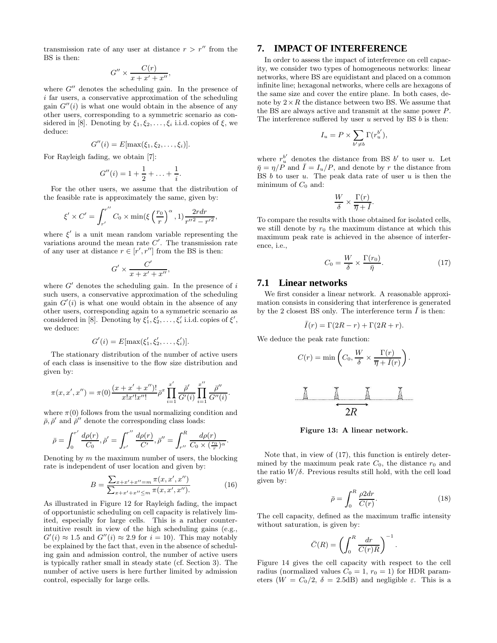transmission rate of any user at distance  $r > r''$  from the BS is then:

$$
G'' \times \frac{C(r)}{x + x' + x''}
$$

,

where  $G''$  denotes the scheduling gain. In the presence of  $i$  far users, a conservative approximation of the scheduling gain  $G''(i)$  is what one would obtain in the absence of any other users, corresponding to a symmetric scenario as considered in [8]. Denoting by  $\xi_1, \xi_2, \ldots, \xi_i$  i.i.d. copies of  $\xi$ , we deduce:

$$
G''(i) = E[\max(\xi_1, \xi_2, \ldots, \xi_i)].
$$

For Rayleigh fading, we obtain [7]:

$$
G''(i) = 1 + \frac{1}{2} + \ldots + \frac{1}{i}.
$$

For the other users, we assume that the distribution of the feasible rate is approximately the same, given by:

$$
\xi' \times C' = \int_{r'}^{r''} C_0 \times \min(\xi \left(\frac{r_0}{r}\right)^{\alpha}, 1) \frac{2r dr}{r''^2 - r'^2},
$$

where  $\xi'$  is a unit mean random variable representing the variations around the mean rate  $C'$ . The transmission rate of any user at distance  $r \in [r', r'']$  from the BS is then:

$$
G' \times \frac{C'}{x + x' + x''},
$$

where  $G'$  denotes the scheduling gain. In the presence of  $i$ such users, a conservative approximation of the scheduling gain  $G'(i)$  is what one would obtain in the absence of any other users, corresponding again to a symmetric scenario as considered in [8]. Denoting by  $\xi'_1, \xi'_2, \ldots, \xi'_i$  i.i.d. copies of  $\xi',$ we deduce:

$$
G'(i) = E[\max(\xi'_1, \xi'_2, \dots, \xi'_i)].
$$

The stationary distribution of the number of active users of each class is insensitive to the flow size distribution and given by:

$$
\pi(x, x', x'') = \pi(0) \frac{(x + x' + x'')!}{x!x'!x''!} \overline{\rho}^x \prod_{i=1}^{x'} \frac{\overline{\rho}'}{G'(i)} \prod_{i=1}^{x''} \frac{\overline{\rho}''}{G''(i)}.
$$

where  $\pi(0)$  follows from the usual normalizing condition and  $\bar{\rho}, \bar{\rho}'$  and  $\bar{\rho}''$  denote the corresponding class loads:

$$
\bar{\rho} = \int_0^{r'} \frac{d\rho(r)}{C_0}, \bar{\rho}' = \int_{r'}^{r''} \frac{d\rho(r)}{C'}, \bar{\rho}'' = \int_{r''}^R \frac{d\rho(r)}{C_0 \times (\frac{r_0}{r})^{\alpha}}.
$$

Denoting by  $m$  the maximum number of users, the blocking rate is independent of user location and given by:

$$
B = \frac{\sum_{x+x'+x''=m} \pi(x, x', x'')}{\sum_{x+x'+x''\le m} \pi(x, x', x'')}.
$$
(16)

As illustrated in Figure 12 for Rayleigh fading, the impact of opportunistic scheduling on cell capacity is relatively limited, especially for large cells. This is a rather counterintuitive result in view of the high scheduling gains (e.g.,  $G'(i) \approx 1.5$  and  $G''(i) \approx 2.9$  for  $i = 10$ ). This may notably be explained by the fact that, even in the absence of scheduling gain and admission control, the number of active users is typically rather small in steady state (cf. Section 3). The number of active users is here further limited by admission control, especially for large cells.

## **7. IMPACT OF INTERFERENCE**

In order to assess the impact of interference on cell capacity, we consider two types of homogeneous networks: linear networks, where BS are equidistant and placed on a common infinite line; hexagonal networks, where cells are hexagons of the same size and cover the entire plane. In both cases, denote by  $2 \times R$  the distance between two BS. We assume that the BS are always active and transmit at the same power P. The interference suffered by user  $u$  served by BS  $b$  is then:

$$
I_u = P \times \sum_{b' \neq b} \Gamma(r_u^{b'}),
$$

where  $r_u^{b'}$  denotes the distance from BS  $b'$  to user u. Let  $\bar{\eta} = \eta / P$  and  $\bar{I} = I_u / P$ , and denote by r the distance from BS  $b$  to user  $u$ . The peak data rate of user  $u$  is then the minimum of  $C_0$  and:

$$
\frac{W}{\delta} \times \frac{\Gamma(r)}{\overline{\eta} + \overline{I}}.
$$

To compare the results with those obtained for isolated cells, we still denote by  $r_0$  the maximum distance at which this maximum peak rate is achieved in the absence of interference, i.e.,

$$
C_0 = \frac{W}{\delta} \times \frac{\Gamma(r_0)}{\bar{\eta}}.\tag{17}
$$

## **7.1 Linear networks**

We first consider a linear network. A reasonable approximation consists in considering that interference is generated by the 2 closest BS only. The interference term  $\bar{I}$  is then:

$$
\bar{I}(r) = \Gamma(2R - r) + \Gamma(2R + r).
$$

We deduce the peak rate function:

$$
C(r) = \min\left(C_0, \frac{W}{\delta} \times \frac{\Gamma(r)}{\overline{\eta} + \overline{I}(r)}\right).
$$
  

$$
\underbrace{\underbrace{\left(\frac{\overline{A}}{2R}, \frac{\overline{A}}{2R}\right)}_{\text{max}}}
$$

Figure 13: A linear network.

Note that, in view of (17), this function is entirely determined by the maximum peak rate  $C_0$ , the distance  $r_0$  and the ratio  $W/\delta$ . Previous results still hold, with the cell load given by:

$$
\bar{\rho} = \int_0^R \frac{\rho 2dr}{C(r)}.\tag{18}
$$

.

The cell capacity, defined as the maximum traffic intensity without saturation, is given by:

$$
\bar{C}(R) = \left(\int_0^R \frac{dr}{C(r)R}\right)^{-1}.
$$

Figure 14 gives the cell capacity with respect to the cell radius (normalized values  $C_0 = 1$ ,  $r_0 = 1$ ) for HDR parameters ( $W = C_0/2$ ,  $\delta = 2.5dB$ ) and negligible  $\varepsilon$ . This is a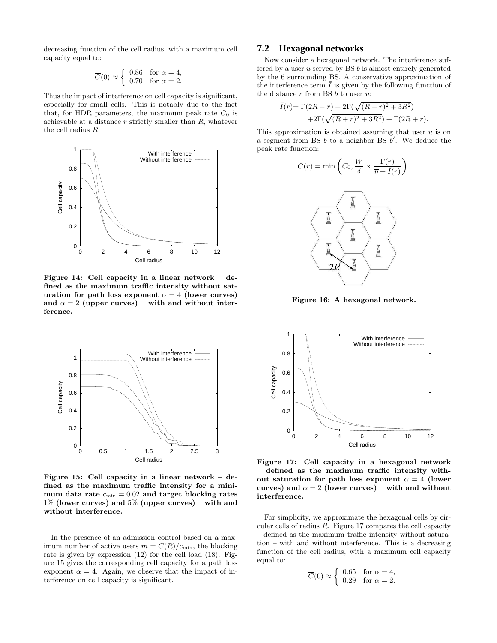decreasing function of the cell radius, with a maximum cell capacity equal to:

$$
\overline{C}(0) \approx \begin{cases} 0.86 & \text{for } \alpha = 4, \\ 0.70 & \text{for } \alpha = 2. \end{cases}
$$

Thus the impact of interference on cell capacity is significant, especially for small cells. This is notably due to the fact that, for HDR parameters, the maximum peak rate  $C_0$  is achievable at a distance  $r$  strictly smaller than  $R$ , whatever the cell radius R.



Figure 14: Cell capacity in a linear network – defined as the maximum traffic intensity without saturation for path loss exponent  $\alpha = 4$  (lower curves) and  $\alpha = 2$  (upper curves) – with and without interference.



Figure 15: Cell capacity in a linear network – defined as the maximum traffic intensity for a minimum data rate  $c_{\min} = 0.02$  and target blocking rates  $1\%$  (lower curves) and  $5\%$  (upper curves) – with and without interference.

In the presence of an admission control based on a maximum number of active users  $m = C(R)/c_{\text{min}}$ , the blocking rate is given by expression (12) for the cell load (18). Figure 15 gives the corresponding cell capacity for a path loss exponent  $\alpha = 4$ . Again, we observe that the impact of interference on cell capacity is significant.

# **7.2 Hexagonal networks**

Now consider a hexagonal network. The interference suffered by a user  $u$  served by BS  $b$  is almost entirely generated by the 6 surrounding BS. A conservative approximation of the interference term  $\overline{I}$  is given by the following function of the distance  $r$  from BS  $b$  to user  $u$ :

$$
\bar{I}(r) = \Gamma(2R - r) + 2\Gamma(\sqrt{(R - r)^2 + 3R^2}) + 2\Gamma(\sqrt{(R + r)^2 + 3R^2}) + \Gamma(2R + r).
$$

This approximation is obtained assuming that user  $u$  is on a segment from BS  $b$  to a neighbor BS  $b'$ . We deduce the peak rate function:

$$
C(r) = \min \left( C_0, \frac{W}{\delta} \times \frac{\Gamma(r)}{\overline{\eta} + \overline{I}(r)} \right).
$$



Figure 16: A hexagonal network.



Figure 17: Cell capacity in a hexagonal network – defined as the maximum traffic intensity without saturation for path loss exponent  $\alpha = 4$  (lower curves) and  $\alpha = 2$  (lower curves) – with and without interference.

For simplicity, we approximate the hexagonal cells by circular cells of radius R. Figure 17 compares the cell capacity – defined as the maximum traffic intensity without saturation – with and without interference. This is a decreasing function of the cell radius, with a maximum cell capacity equal to:

$$
\overline{C}(0) \approx \begin{cases} 0.65 & \text{for } \alpha = 4, \\ 0.29 & \text{for } \alpha = 2. \end{cases}
$$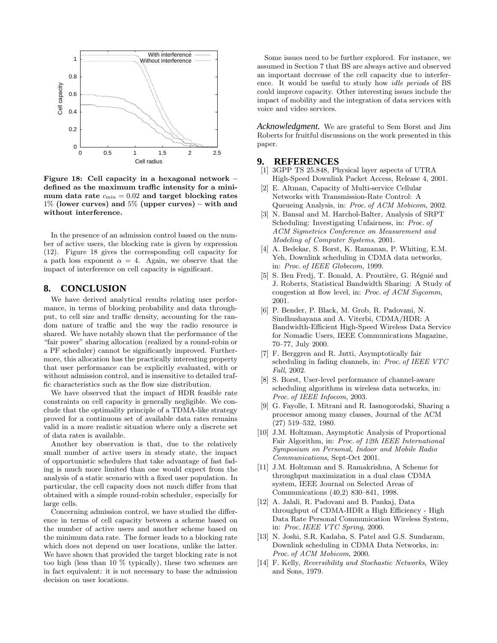

Figure 18: Cell capacity in a hexagonal network – defined as the maximum traffic intensity for a minimum data rate  $c_{\text{min}} = 0.02$  and target blocking rates  $1\%$  (lower curves) and  $5\%$  (upper curves) – with and without interference.

In the presence of an admission control based on the number of active users, the blocking rate is given by expression (12). Figure 18 gives the corresponding cell capacity for a path loss exponent  $\alpha = 4$ . Again, we observe that the impact of interference on cell capacity is significant.

## **8. CONCLUSION**

We have derived analytical results relating user performance, in terms of blocking probability and data throughput, to cell size and traffic density, accounting for the random nature of traffic and the way the radio resource is shared. We have notably shown that the performance of the "fair power" sharing allocation (realized by a round-robin or a PF scheduler) cannot be significantly improved. Furthermore, this allocation has the practically interesting property that user performance can be explicitly evaluated, with or without admission control, and is insensitive to detailed traffic characteristics such as the flow size distribution.

We have observed that the impact of HDR feasible rate constraints on cell capacity is generally negligible. We conclude that the optimality principle of a TDMA-like strategy proved for a continuous set of available data rates remains valid in a more realistic situation where only a discrete set of data rates is available.

Another key observation is that, due to the relatively small number of active users in steady state, the impact of opportunistic schedulers that take advantage of fast fading is much more limited than one would expect from the analysis of a static scenario with a fixed user population. In particular, the cell capacity does not much differ from that obtained with a simple round-robin scheduler, especially for large cells.

Concerning admission control, we have studied the difference in terms of cell capacity between a scheme based on the number of active users and another scheme based on the minimum data rate. The former leads to a blocking rate which does not depend on user locations, unlike the latter. We have shown that provided the target blocking rate is not too high (less than 10 % typically), these two schemes are in fact equivalent: it is not necessary to base the admission decision on user locations.

Some issues need to be further explored. For instance, we assumed in Section 7 that BS are always active and observed an important decrease of the cell capacity due to interference. It would be useful to study how idle periods of BS could improve capacity. Other interesting issues include the impact of mobility and the integration of data services with voice and video services.

*Acknowledgment.* We are grateful to Sem Borst and Jim Roberts for fruitful discussions on the work presented in this paper.

# **9. REFERENCES** [1] 3GPP TS 25.848, Ph

- [1] 3GPP TS 25.848, Physical layer aspects of UTRA High-Speed Downlink Packet Access, Release 4, 2001.
- [2] E. Altman, Capacity of Multi-service Cellular Networks with Transmission-Rate Control: A Queueing Analysis, in: Proc. of ACM Mobicom, 2002.
- [3] N. Bansal and M. Harchol-Balter, Analysis of SRPT Scheduling: Investigating Unfairness, in: Proc. of ACM Sigmetrics Conference on Measurement and Modeling of Computer Systems, 2001.
- [4] A. Bedekar, S. Borst, K. Ramanan, P. Whiting, E.M. Yeh, Downlink scheduling in CDMA data networks, in: Proc. of IEEE Globecom, 1999.
- [5] S. Ben Fredj, T. Bonald, A. Proutière, G. Régnié and J. Roberts, Statistical Bandwidth Sharing: A Study of congestion at flow level, in: Proc. of ACM Sigcomm, 2001.
- [6] P. Bender, P. Black, M. Grob, R. Padovani, N. Sindhushayana and A. Viterbi, CDMA/HDR: A Bandwidth-Efficient High-Speed Wireless Data Service for Nomadic Users, IEEE Communications Magazine, 70–77, July 2000.
- [7] F. Berggren and R. Jntti, Asymptotically fair scheduling in fading channels, in: Proc. of IEEE VTC Fall, 2002.
- [8] S. Borst, User-level performance of channel-aware scheduling algorithms in wireless data networks, in: Proc. of IEEE Infocom, 2003.
- [9] G. Fayolle, I. Mitrani and R. Iasnogorodski, Sharing a processor among many classes, Journal of the ACM (27) 519–532, 1980.
- [10] J.M. Holtzman, Asymptotic Analysis of Proportional Fair Algorithm, in: Proc. of 12th IEEE International Symposium on Personal, Indoor and Mobile Radio Communications, Sept-Oct 2001.
- [11] J.M. Holtzman and S. Ramakrishna, A Scheme for throughput maximization in a dual class CDMA system, IEEE Journal on Selected Areas of Communications (40,2) 830–841, 1998.
- [12] A. Jalali, R. Padovani and B. Pankaj, Data throughput of CDMA-HDR a High Efficiency - High Data Rate Personal Communication Wireless System, in: Proc. IEEE VTC Spring, 2000.
- [13] N. Joshi, S.R. Kadaba, S. Patel and G.S. Sundaram, Downlink scheduling in CDMA Data Networks, in: Proc. of ACM Mobicom, 2000.
- [14] F. Kelly, Reversibility and Stochastic Networks, Wiley and Sons, 1979.